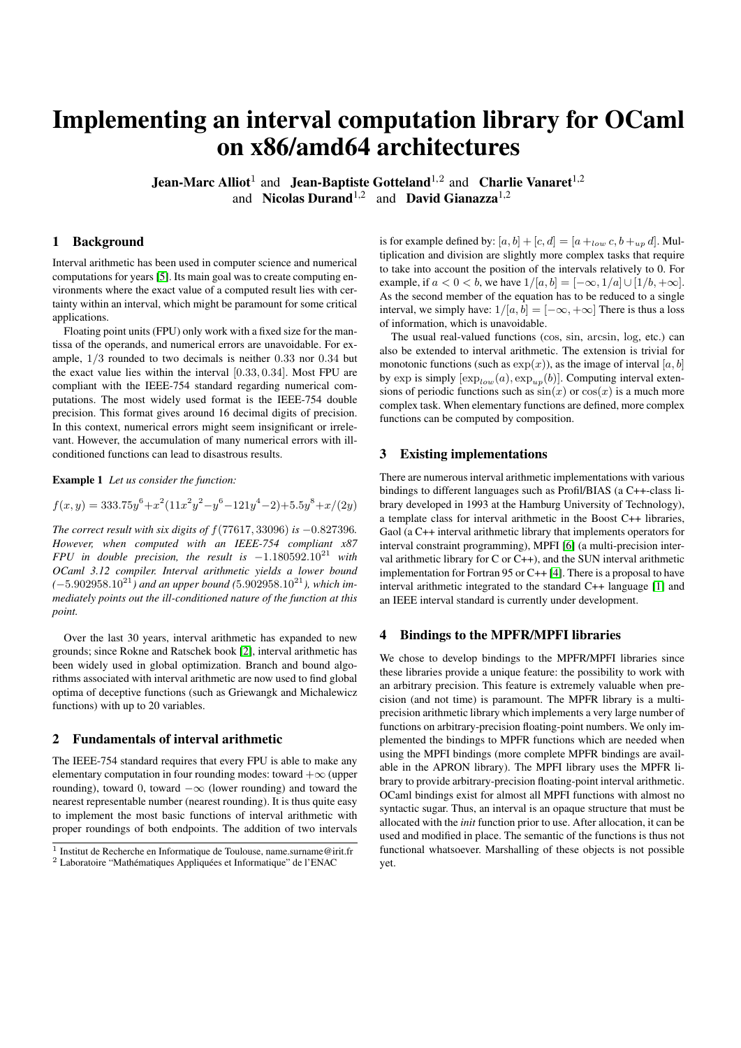# Implementing an interval computation library for OCaml on x86/amd64 architectures

**Jean-Marc Alliot**<sup>1</sup> and **Jean-Baptiste Gotteland**<sup>1,2</sup> and **Charlie Vanaret**<sup>1,2</sup> and Nicolas Durand<sup>1,2</sup> and David Gianazza<sup>1,2</sup>

# 1 Background

Interval arithmetic has been used in computer science and numerical computations for years [\[5\]](#page-1-0). Its main goal was to create computing environments where the exact value of a computed result lies with certainty within an interval, which might be paramount for some critical applications.

Floating point units (FPU) only work with a fixed size for the mantissa of the operands, and numerical errors are unavoidable. For example, 1/3 rounded to two decimals is neither 0.33 nor 0.34 but the exact value lies within the interval [0.33, 0.34]. Most FPU are compliant with the IEEE-754 standard regarding numerical computations. The most widely used format is the IEEE-754 double precision. This format gives around 16 decimal digits of precision. In this context, numerical errors might seem insignificant or irrelevant. However, the accumulation of many numerical errors with illconditioned functions can lead to disastrous results.

Example 1 *Let us consider the function:*

$$
f(x,y) = 333.75y^{6} + x^{2}(11x^{2}y^{2} - y^{6} - 121y^{4} - 2) + 5.5y^{8} + x/(2y)
$$

*The correct result with six digits of* f(77617, 33096) *is* −0.827396*. However, when computed with an IEEE-754 compliant x87 FPU in double precision, the result is* −1.180592.10<sup>21</sup> *with OCaml 3.12 compiler. Interval arithmetic yields a lower bound (*−5.902958.10<sup>21</sup>*) and an upper bound (*5.902958.10<sup>21</sup>*), which immediately points out the ill-conditioned nature of the function at this point.*

Over the last 30 years, interval arithmetic has expanded to new grounds; since Rokne and Ratschek book [\[2\]](#page-1-1), interval arithmetic has been widely used in global optimization. Branch and bound algorithms associated with interval arithmetic are now used to find global optima of deceptive functions (such as Griewangk and Michalewicz functions) with up to 20 variables.

#### 2 Fundamentals of interval arithmetic

The IEEE-754 standard requires that every FPU is able to make any elementary computation in four rounding modes: toward  $+\infty$  (upper rounding), toward 0, toward  $-\infty$  (lower rounding) and toward the nearest representable number (nearest rounding). It is thus quite easy to implement the most basic functions of interval arithmetic with proper roundings of both endpoints. The addition of two intervals is for example defined by:  $[a, b] + [c, d] = [a +_{low} c, b +_{up} d]$ . Multiplication and division are slightly more complex tasks that require to take into account the position of the intervals relatively to 0. For example, if  $a < 0 < b$ , we have  $1/[a, b] = [-\infty, 1/a] \cup [1/b, +\infty]$ . As the second member of the equation has to be reduced to a single interval, we simply have:  $1/[a, b] = [-\infty, +\infty]$  There is thus a loss of information, which is unavoidable.

The usual real-valued functions (cos, sin, arcsin, log, etc.) can also be extended to interval arithmetic. The extension is trivial for monotonic functions (such as  $exp(x)$ ), as the image of interval  $[a, b]$ by exp is simply  $[\exp_{low}(a), \exp_{up}(b)]$ . Computing interval extensions of periodic functions such as  $sin(x)$  or  $cos(x)$  is a much more complex task. When elementary functions are defined, more complex functions can be computed by composition.

# 3 Existing implementations

There are numerous interval arithmetic implementations with various bindings to different languages such as Profil/BIAS (a C++-class library developed in 1993 at the Hamburg University of Technology), a template class for interval arithmetic in the Boost C++ libraries, Gaol (a C++ interval arithmetic library that implements operators for interval constraint programming), MPFI [\[6\]](#page-1-2) (a multi-precision interval arithmetic library for  $C$  or  $C_{++}$ ), and the SUN interval arithmetic implementation for Fortran 95 or C++ [\[4\]](#page-1-3). There is a proposal to have interval arithmetic integrated to the standard C++ language [\[1\]](#page-1-4) and an IEEE interval standard is currently under development.

# 4 Bindings to the MPFR/MPFI libraries

We chose to develop bindings to the MPFR/MPFI libraries since these libraries provide a unique feature: the possibility to work with an arbitrary precision. This feature is extremely valuable when precision (and not time) is paramount. The MPFR library is a multiprecision arithmetic library which implements a very large number of functions on arbitrary-precision floating-point numbers. We only implemented the bindings to MPFR functions which are needed when using the MPFI bindings (more complete MPFR bindings are available in the APRON library). The MPFI library uses the MPFR library to provide arbitrary-precision floating-point interval arithmetic. OCaml bindings exist for almost all MPFI functions with almost no syntactic sugar. Thus, an interval is an opaque structure that must be allocated with the *init* function prior to use. After allocation, it can be used and modified in place. The semantic of the functions is thus not functional whatsoever. Marshalling of these objects is not possible yet.

<sup>&</sup>lt;sup>1</sup> Institut de Recherche en Informatique de Toulouse, name.surname@irit.fr <sup>2</sup> Laboratoire "Mathématiques Appliquées et Informatique" de l'ENAC